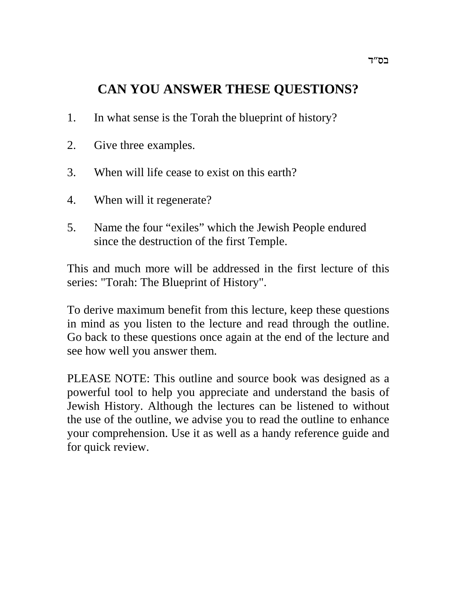# **CAN YOU ANSWER THESE QUESTIONS?**

- 1. In what sense is the Torah the blueprint of history?
- 2. Give three examples.
- 3. When will life cease to exist on this earth?
- 4. When will it regenerate?
- 5. Name the four "exiles" which the Jewish People endured since the destruction of the first Temple.

This and much more will be addressed in the first lecture of this series: "Torah: The Blueprint of History".

To derive maximum benefit from this lecture, keep these questions in mind as you listen to the lecture and read through the outline. Go back to these questions once again at the end of the lecture and see how well you answer them.

PLEASE NOTE: This outline and source book was designed as a powerful tool to help you appreciate and understand the basis of Jewish History. Although the lectures can be listened to without the use of the outline, we advise you to read the outline to enhance your comprehension. Use it as well as a handy reference guide and for quick review.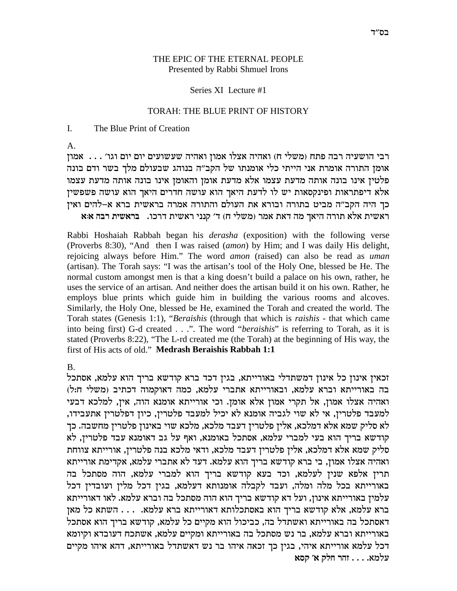### THE EPIC OF THE ETERNAL PEOPLE Presented by Rabbi Shmuel Irons

### Series XI Lecture #1

### TORAH: THE BLUE PRINT OF HISTORY

#### L. The Blue Print of Creation

 $A_{1}$ 

רבי הושעיה רבה פתח (משלי ח) ואהיה אצלו אמון ואהיה שעשועים יום יום וגו׳ . . . אמון אומן התורה אומרת אני הייתי כלי אומנתו של הקב"ה בנוהג שבעולם מלך בשר ודם בונה פלטין אינו בונה אותה מדעת עצמו אלא מדעת אומן והאומן אינו בונה אותה מדעת עצמו אלא דיפתראות ופינקסאות יש לו לדעת היאך הוא עושה חדרים היאך הוא עושה פשפשין כך היה הקב"ה מביט בתורה ובורא את העולם והתורה אמרה בראשית ברא א-להים ואין ראשית אלא תורה היאך מה דאת אמר (משלי ח) ד׳ קנני ראשית דרכו. בראשית רבה א:א

Rabbi Hoshaiah Rabbah began his *derasha* (exposition) with the following verse (Proverbs 8:30), "And then I was raised (amon) by Him; and I was daily His delight, rejoicing always before Him." The word amon (raised) can also be read as uman (artisan). The Torah says: "I was the artisan's tool of the Holy One, blessed be He. The normal custom amongst men is that a king doesn't build a palace on his own, rather, he uses the service of an artisan. And neither does the artisan build it on his own. Rather, he employs blue prints which guide him in building the various rooms and alcoves. Similarly, the Holy One, blessed be He, examined the Torah and created the world. The Torah states (Genesis 1:1), "Beraishis (through that which is raishis - that which came into being first) G-d created . . .". The word "beraishis" is referring to Torah, as it is stated (Proverbs 8:22), "The L-rd created me (the Torah) at the beginning of His way, the first of His acts of old." Medrash Beraishis Rabbah 1:1

 $\mathbf{B}$ 

זכאין אינון כל אינון דמשתדלי באורייתא, בגין דכד ברא קודשא בריך הוא עלמא, אסתכל בה באורייתא וברא עלמא, ובאורייתא אתברי עלמא, כמה דאוקמוה דכתיב (משלי ח:ל) ואהיה אצלו אמון, אל תקרי אמון אלא אומן. וכי אורייתא אומנא הוה, אין, למלכא דבעי למעבד פלטרין, אי לא שוי לגביה אומנא לא יכיל למעבד פלטרין, כיון דפלטרין אתעבידו, לא סליק שמא אלא דמלכא, אלין פלטרין דעבד מלכא, מלכא שוי באינון פלטרין מחשבה. כך קודשא בריך הוא בעי למברי עלמא, אסתכל באומנא, ואף על גב דאומנא עבד פלטרין, לא סליק שמא אלא דמלכא, אלין פלטרין דעבד מלכא, ודאי מלכא בנה פלטרין, אורייתא צווחת ואהיה אצלו אמון, בי ברא קודשא בריך הוא עלמא. דעד לא אתברי עלמא, אקדימת אורייתא תרין אלפא שנין לעלמא, וכד בעא קודשא בריך הוא למברי עלמא, הוה מסתכל בה באורייתא בכל מלה ומלה, ועבד לקבלה אומנותא דעלמא, בגין דכל מלין ועובדין דכל עלמין באורייתא אינון, ועל דא קודשא בריך הוא הוה מסתכל בה וברא עלמא. לאו דאורייתא ברא עלמא, אלא קודשא בריך הוא באסתכלותא דאורייתא ברא עלמא. ... השתא כל מאז דאסתכל בה באורייתא ואשתדל בה, כביכול הוא מקיים כל עלמא, קודשא בריך הוא אסתכל באורייתא וברא עלמא, בר נש מסתכל בה באורייתא ומקיים עלמא, אשתכח דעובדא וקיומא דכל עלמא אורייתא איהי, בגין כך זכאה איהו בר נש דאשתדל באורייתא, דהא איהו מקיים עלמא. . . . זהר חלק א׳ קסא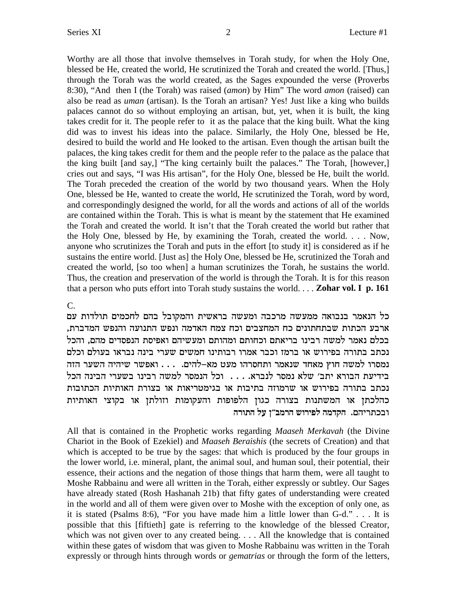Worthy are all those that involve themselves in Torah study, for when the Holy One, blessed be He, created the world, He scrutinized the Torah and created the world. [Thus,] through the Torah was the world created, as the Sages expounded the verse (Proverbs 8:30), "And then I (the Torah) was raised (*amon*) by Him" The word *amon* (raised) can also be read as *uman* (artisan). Is the Torah an artisan? Yes! Just like a king who builds palaces cannot do so without employing an artisan, but, yet, when it is built, the king takes credit for it. The people refer to it as the palace that the king built. What the king did was to invest his ideas into the palace. Similarly, the Holy One, blessed be He, desired to build the world and He looked to the artisan. Even though the artisan built the palaces, the king takes credit for them and the people refer to the palace as the palace that the king built [and say,] "The king certainly built the palaces." The Torah, [however,] cries out and says, "I was His artisan", for the Holy One, blessed be He, built the world. The Torah preceded the creation of the world by two thousand years. When the Holy One, blessed be He, wanted to create the world, He scrutinized the Torah, word by word, and correspondingly designed the world, for all the words and actions of all of the worlds are contained within the Torah. This is what is meant by the statement that He examined the Torah and created the world. It isn't that the Torah created the world but rather that the Holy One, blessed by He, by examining the Torah, created the world. . . . Now, anyone who scrutinizes the Torah and puts in the effort [to study it] is considered as if he sustains the entire world. [Just as] the Holy One, blessed be He, scrutinized the Torah and created the world, [so too when] a human scrutinizes the Torah, he sustains the world. Thus, the creation and preservation of the world is through the Torah. It is for this reason that a person who puts effort into Torah study sustains the world. . . . **Zohar vol. I p. 161**

 $\mathcal{C}$ 

כל הנאמר בנבואה ממעשה מרכבה ומעשה בראשית והמקובל בהם לחכמים תולדות עם ,ארבע הכתות שבתחתונים כח המחצבים וכח צמח האדמה ונפש ההמדמת ממדברת l בכלם נאמר למשה רבינו בריאתם וכחותם ומהותם ומעשיהם ואפיסת הנפסדים מהם, והכל נכתב בתורה בפירוש או ברמז וכבר אמרו רבותינו חמשים שערי בינה נבראו בעולם וכלם נמסרו למשה חוץ מאחד שנאמר ותחסרהו מעט מא-להים. . . . ואפשר שיהיה השער הזה בידיעת הבורא יתב׳ שלא נמסר לנברא. . . . . וכל הנמסר למשה רבינו בשערי הבינה הכל נכתב בתורה בפירוש או שרמוזה בתיבות או בגימטריאות או בצורת האותיות הכתובות כהלכתן או המשתנות בצורה כגון הלפופות והעקומות וזולתן או בקוצי האותיות **ובכתריהם. הקדמה לפירוש הרמב״ו על התורה** 

All that is contained in the Prophetic works regarding *Maaseh Merkavah* (the Divine Chariot in the Book of Ezekiel) and *Maaseh Beraishis* (the secrets of Creation) and that which is accepted to be true by the sages: that which is produced by the four groups in the lower world, i.e. mineral, plant, the animal soul, and human soul, their potential, their essence, their actions and the negation of those things that harm them, were all taught to Moshe Rabbainu and were all written in the Torah, either expressly or subtley. Our Sages have already stated (Rosh Hashanah 21b) that fifty gates of understanding were created in the world and all of them were given over to Moshe with the exception of only one, as it is stated (Psalms 8:6), "For you have made him a little lower than G-d." . . . It is possible that this [fiftieth] gate is referring to the knowledge of the blessed Creator, which was not given over to any created being. . . . All the knowledge that is contained within these gates of wisdom that was given to Moshe Rabbainu was written in the Torah expressly or through hints through words or *gematrias* or through the form of the letters,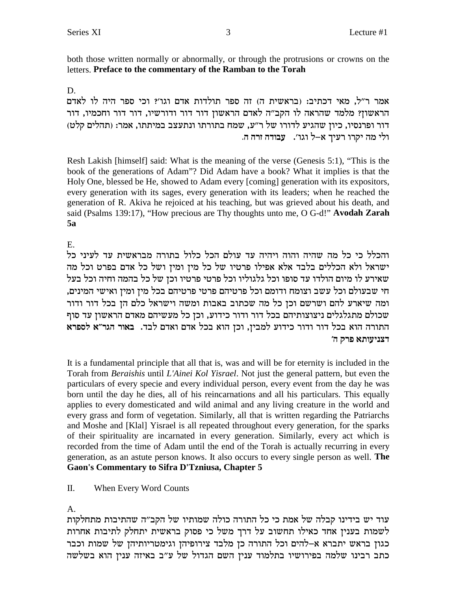both those written normally or abnormally, or through the protrusions or crowns on the letters. Preface to the commentary of the Ramban to the Torah

## D.

אמר ר"ל, מאי דכתיב: (בראשית ה) זה ספר תולדות אדם וגו'? וכי ספר היה לו לאדם הראשוז? מלמד שהראה לו הקב״ה לאדם הראשוז דור דור ודורשיו, דור דור וחכמיו, דור דור ופרנסיו, כיון שהגיע לדורו של ר"ע, שמח בתורתו ונתעצב במיתתו, אמר: (תהלים קלט) ולי מה יקרו רעיך א-ל וגו׳. צבודה זרה ה.

Resh Lakish [himself] said: What is the meaning of the verse (Genesis 5:1), "This is the book of the generations of Adam"? Did Adam have a book? What it implies is that the Holy One, blessed be He, showed to Adam every [coming] generation with its expositors, every generation with its sages, every generation with its leaders; when he reached the generation of R. Akiva he rejoiced at his teaching, but was grieved about his death, and said (Psalms 139:17), "How precious are Thy thoughts unto me, O G-d!" Avodah Zarah  $5a$ 

## $E_{\cdot}$

והכלל כי כל מה שהיה והוה ויהיה עד עולם הכל כלול בתורה מבראשית עד לעיני כל ישראל ולא הכללים בלבד אלא אפילו פרטיו של כל מין ומין ושל כל אדם בפרט וכל מה שאירע לו מיום הולדו עד סופו וכל גלגוליו וכל פרטי פרטיו וכן של כל בהמה וחיה וכל בעל חי שבעולם וכל עשב וצומח ודומם וכל פרטיהם פרטי פרטיהם בכל מין ומין ואישי המינים, ומה שיארע להם ושרשם וכן כל מה שכתוב באבות ומשה וישראל כלם הן בכל דור ודור שכולם מתגלגלים ניצוצותיהם בכל דור ודור כידוע, וכן כל מעשיהם מאדם הראשון עד סוף התורה הוא בכל דור ודור כידוע למבין, וכן הוא בכל אדם ואדם לבד. באור הגר"א לספרא דצניעותא פרק ה׳

It is a fundamental principle that all that is, was and will be for eternity is included in the Torah from Beraishis until L'Ainei Kol Yisrael. Not just the general pattern, but even the particulars of every specie and every individual person, every event from the day he was born until the day he dies, all of his reincarnations and all his particulars. This equally applies to every domesticated and wild animal and any living creature in the world and every grass and form of vegetation. Similarly, all that is written regarding the Patriarchs and Moshe and [Klal] Yisrael is all repeated throughout every generation, for the sparks of their spirituality are incarnated in every generation. Similarly, every act which is recorded from the time of Adam until the end of the Torah is actually recurring in every generation, as an astute person knows. It also occurs to every single person as well. The **Gaon's Commentary to Sifra D'Tzniusa, Chapter 5** 

### Π. When Every Word Counts

 $A_{\cdot}$ 

עוד יש בידינו קבלה של אמת כי כל התורה כולה שמותיו של הקב"ה שהתיבות מתחלקות לשמות בענין אחד כאילו תחשוב על דרך משל כי פסוק בראשית יתחלק לתיבות אחרות כגון בראש יתברא א-להים וכל התורה כן מלבד צירופיהן וגימטריותיהן של שמות וכבר כתב רבינו שלמה בפירושיו בתלמוד ענין השם הגדול של ע"ב באיזה ענין הוא בשלשה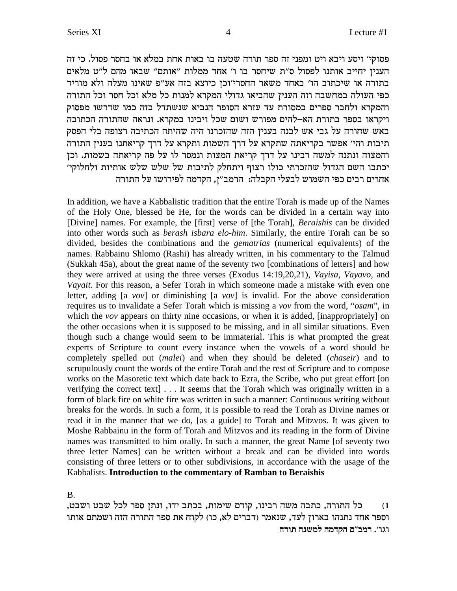פסוקי' ויסע ויבא ויט ומפני זה ספר תורה שטעה בו באות אחת במלא או בחסר פסול. כי זה הענין יחייב אותנו לפסול ס"ת שיחסר בו ו' אחד ממלות "אותם" שבאו מהם ל"ט מלאים בתורה או שיכתוב הו' באחד משאר החסרי'וכן כיוצא בזה אע"פ שאינו מעלה ולא מוריד כפי העולה במחשבה וזה הענין שהביאו גדולי המקרא למנות כל מלא וכל חסר וכל התורה והמקרא ולחבר ספרים במסורת עד עזרא הסופר הנביא שנשתדל בזה כמו שדרשו מפסוק ויקראו בספר בתורת הא-להים מפורש ושום שכל ויבינו במקרא. ונראה שהתורה הכתובה באש שחורה על גבי אש לבנה בענין הזה שהזכרנו היה שהיתה הכתיבה רצופה בלי הפסק תיבות והי׳ אפשר בקריאתה שתקרא על דרך השמות ותקרא על דרך קריאתנו בענין התורה והמצוה ונתנה למשה רבינו על דרך קריאת המצות ונמסר לו על פה קריאתה בשמות. וכן יכתבו השם הגדול שהזכרתי כולו רצוף ויתחלק לתיבות של שלש שלש אותיות ולחלוקי' אחרים רבים כפי השמוש לבעלי הקבלה: הרמב"ן, הקדמה לפירושו על התורה

In addition, we have a Kabbalistic tradition that the entire Torah is made up of the Names of the Holy One, blessed be He, for the words can be divided in a certain way into [Divine] names. For example, the [first] verse of [the Torah], *Beraishis* can be divided into other words such as *berash isbara elo-him*. Similarly, the entire Torah can be so divided, besides the combinations and the *gematrias* (numerical equivalents) of the names. Rabbainu Shlomo (Rashi) has already written, in his commentary to the Talmud (Sukkah 45a), about the great name of the seventy two [combinations of letters] and how they were arrived at using the three verses (Exodus 14:19,20,21), Vayisa, Vayavo, and Vayait. For this reason, a Sefer Torah in which someone made a mistake with even one letter, adding [a  $vol$ ] or diminishing [a  $vol$ ] is invalid. For the above consideration requires us to invalidate a Sefer Torah which is missing a vov from the word, "osam", in which the vov appears on thirty nine occasions, or when it is added, [inappropriately] on the other occasions when it is supposed to be missing, and in all similar situations. Even though such a change would seem to be immaterial. This is what prompted the great experts of Scripture to count every instance when the vowels of a word should be completely spelled out (malei) and when they should be deleted (chaseir) and to scrupulously count the words of the entire Torah and the rest of Scripture and to compose works on the Masoretic text which date back to Ezra, the Scribe, who put great effort [on verifying the correct text] . . . It seems that the Torah which was originally written in a form of black fire on white fire was written in such a manner: Continuous writing without breaks for the words. In such a form, it is possible to read the Torah as Divine names or read it in the manner that we do, [as a guide] to Torah and Mitzvos. It was given to Moshe Rabbainu in the form of Torah and Mitzvos and its reading in the form of Divine names was transmitted to him orally. In such a manner, the great Name [of seventy two three letter Names] can be written without a break and can be divided into words consisting of three letters or to other subdivisions, in accordance with the usage of the Kabbalists. Introduction to the commentary of Ramban to Beraishis

 $\mathbf{B}$ 

כל התורה, כתבה משה רבינו, קודם שימות, בכתב ידו, ונתן ספר לכל שבט ושבט,  $(1)$ וספר אחד נתנהו בארון לעד, שנאמר (דברים לא, כו) לקוח את ספר התורה הזה ושמתם אותו וגו׳. רמב״ם הקדמה למשנה תורה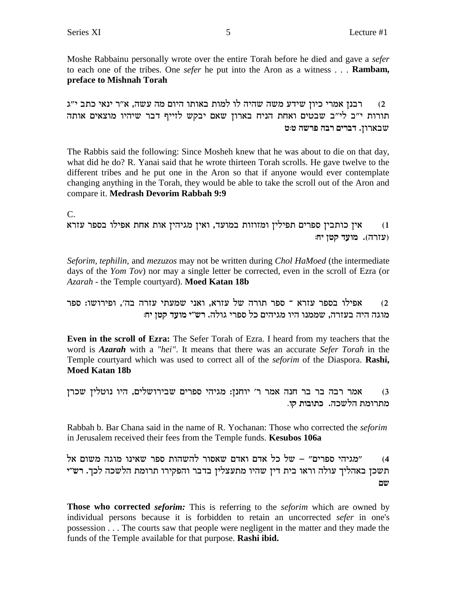Moshe Rabbainu personally wrote over the entire Torah before he died and gave a sefer to each one of the tribes. One *sefer* he put into the Aron as a witness . . . **Rambam**, preface to Mishnah Torah

רבנן אמרי כיון שידע משה שהיה לו למות באותו היום מה עשה, א״ר ינאי כתב י״ג  $(2)$ תורות י״ב לי״ב שבטים ואחת הניח בארוז שאם יבקש לזייף דבר שיהיו מוצאים אותה שבארון. דברים רבה פרשה ט:ט

The Rabbis said the following: Since Mosheh knew that he was about to die on that day, what did he do? R. Yanai said that he wrote thirteen Torah scrolls. He gave twelve to the different tribes and he put one in the Aron so that if anyone would ever contemplate changing anything in the Torah, they would be able to take the scroll out of the Aron and compare it. Medrash Devorim Rabbah 9:9

 $C_{\cdot}$ 

אין כותבין ספרים תפילין ומזוזות במועד, ואין מגיהין אות אחת אפילו בספר עזרא  $(1)$ (עזרה). מועד קטן יח:

Seforim, tephilin, and mezuzos may not be written during Chol HaMoed (the intermediate days of the Yom Tov) nor may a single letter be corrected, even in the scroll of Ezra (or Azarah - the Temple courtyard). Moed Katan 18b

אפילו בספר עזרא ־ ספר תורה של עזרא, ואני שמעתי עזרה בה׳, ופירושו: ספר  $(2)$ מוגה היה בעזרה, שממנו היו מגיהים כל ספרי גולה. רש״י מועד קטן יח:

**Even in the scroll of Ezra:** The Sefer Torah of Ezra. I heard from my teachers that the word is **Azarah** with a "hei". It means that there was an accurate Sefer Torah in the Temple courtyard which was used to correct all of the *seforim* of the Diaspora. **Rashi**, Moed Katan 18b

אמר רבה בר בר חנה אמר ר' יוחנן: מגיהי ספרים שבירושלים, היו נוטלין שכרן  $(3)$ מתרומת הלשכה. כתובות קו.

Rabbah b. Bar Chana said in the name of R. Yochanan: Those who corrected the *seforim* in Jerusalem received their fees from the Temple funds. Kesubos 106a

מגיהי ספרים" – של כל אדם ואדם שאסור להשהות ספר שאינו מוגה משום אל"  $(4)$ תשכן באהליך עולה וראו בית דין שהיו מתעצלין בדבר והפקירו תרומת הלשכה לכך. רש"י שם

**Those who corrected** *seforim*: This is referring to the *seforim* which are owned by individual persons because it is forbidden to retain an uncorrected sefer in one's possession . . . The courts saw that people were negligent in the matter and they made the funds of the Temple available for that purpose. **Rashi ibid.**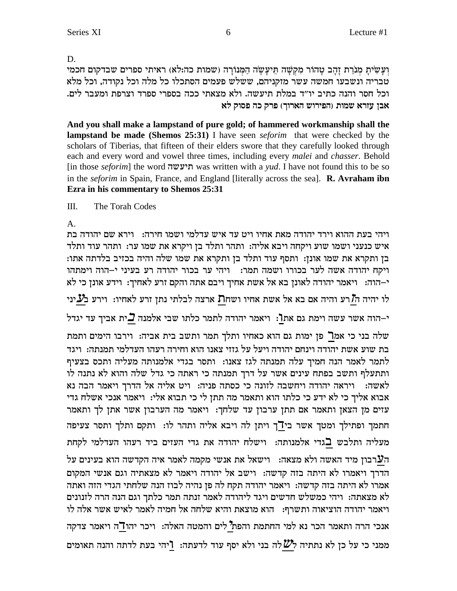מעליה ותלבש בגדי אלמנותה: וישלח יהודה את גדי העזים ביד רעהו העדלמי לקחת הערבון מיד האשה ולא מצאה: וישאל את אנשי מקמה לאמר איה הקדשה הוא בעינים על הדרך ויאמרו לא היתה בזה קדשה: וישב אל יהודה ויאמר לא מצאתיה וגם אנשי המקום אמרו לא היתה בזה קדשה: ויאמר יהודה תקח לה פן נהיה לבוז הנה שלחתי הגדי הזה ואתה לא מצאתה: ויהי כמשלש חדשים ויגד ליהודה לאמר זנתה תמר כלתך וגם הנה הרה לזנונים ויאמר יהודה הוציאוה ותשרף: הוא מוצאת והיא שלחה אל חמיה לאמר לאיש אשר אלה לו אנכי הרה ותאמר הכר נא למי החתמת והפת<sup>ל</sup> לים והמטה האלה: ויכר יהו**ד**ה ויאמר צדקה ממני כי על כן לא נתתיה ל $\mathcal{U}$ לה בני ולא יסף עוד לדעתה:  $\,$ ויהי בעת לדתה והנה תאומים

שלה בני כי אמר פן ימות גם הוא כאחיו ותלך תמר ותשב בית אביה: וירבו הימים ותמת בת שוע אשת יהודה וינחם יהודה ויעל על גזזי צאנו הוא וחירה רעהו העדלמי תמנתה: ויגד לתמר לאמר הנה חמיך עלה תמנתה לגז צאנו: ותסר בגדי אלמנותה מעליה ותכס בצעיף ותתעלף ותשב בפתח עינים אשר על דרך תמנתה כי ראתה כי גדל שלה והוא לא נתנה לו לאשה: ויראה יהודה ויחשבה לזונה כי כסתה פניה: ויט אליה אל הדרך ויאמר הבה נא אבוא אליך כי לא ידע כי כלתו הוא ותאמר מה תתן לי כי תבוא אלי: ויאמר אנכי אשלח גדי עזים מן הצאן ותאמר אם תתן ערבון עד שלחך: ויאמר מה הערבון אשר אתן לך ותאמר חתמך ופתילך ומטך אשר בידך ויתן לה ויבא אליה ותהר לו: ותקם ותלך ותסר צעיפה

 $A_{1}$ ויהי בעת ההוא וירד יהודה מאת אחיו ויט עד איש עדלמי ושמו חירה: | וירא שם יהודה בת איש כנעני ושמו שוע ויקחה ויבא אליה: ותהר ותלד בן ויקרא את שמו ער: ותהר עוד ותלד בן ותקרא את שמו אונן: ותסף עוד ותלד בן ותקרא את שמו שלה והיה בכזיב בלדתה אתו: ויקח יהודה אשה לער בכורו ושמה תמר: | ויהי ער בכור יהודה רע בעיני י-הוה וימתהו י–הוה: ויאמר יהודה לאונן בא אל אשת אחיך ויבם אתה והקם זרע לאחיך: וידע אונן כי לא לו יהיה ה $\hbar$  רע והיה אם בא אל אשת אחיו ושחת ארצה לבלתי נתן זרע לאחיו: וירע ב $\hbar$ יני

י-הוה אשר עשה וימת גם את<sup>ן</sup>: ויאמר יהודה לתמר כלתו שבי אלמנה בית אביך עד יגדל

Ш. The Torah Codes

## Ezra in his commentary to Shemos 25:31

And you shall make a lampstand of pure gold; of hammered workmanship shall the lampstand be made (Shemos 25:31) I have seen seforim that were checked by the scholars of Tiberias, that fifteen of their elders swore that they carefully looked through each and every word and vowel three times, including every *malei* and *chasser*. Behold [in those *seforim*] the word **היעשה** was written with a *yud*. I have not found this to be so in the *seforim* in Spain, France, and England [literally across the sea]. **R. Avraham ibn** 

D. וְעָשִׂיתַ מְנֹרַת זָהָב טַהוֹר מְקִשָּׁה תֵּיעָשֵׂה הַמְּנוֹרָה (שמות כה:לֹא) ראיתי ספרים שבדקום חכמי טבריה ונשבעו חמשה עשר מזקניהם, ששלש פעמים הסתכלו כל מלה וכל נקודה, וכל מלא וכל חסר והנה כתיב יו״ד במלת תיעשה. ולא מצאתי ככה בספרי ספרד וצרפת ומעבר לים. אבן עזרא שמות (הפירוש הארוך) פרק כה פסוק לא

6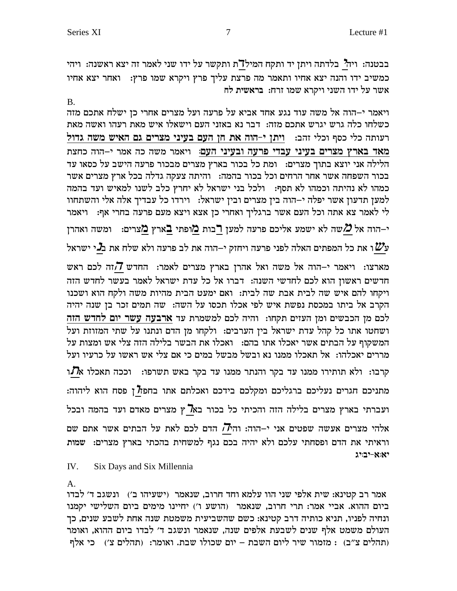בבטנה: ויה? בלדתה ויתן יד ותקח המיל $\Gamma$ ת ותקשר על ידו שני לאמר זה יצא ראשנה: ויהי כמשיב ידו והנה יצא אחיו ותאמר מה פרצת עליך פרץ ויקרא שמו פרץ: נאחר יצא אחיו אשר על ידו השני ויקרא שמו זרח: בראשית לח

**B.** ויאמר י–הוה אל משה עוד נגע אחד אביא על פרעה ועל מצרים אחרי כן ישלח אתכם מזה כשלחו כלה גרש יגרש אתכם מזה: דבר נא באזני העם וישאלו איש מאת רעהו ואשה מאת רעותה כלי כסף וכלי זהב: [יתן י-הוה את חן העם בעיני מצרים גם האיש משה גדול <u>מאד בארץ מצרים בעיני עבדי פרעה ובעיני העם:</u> ויאמר משה כה אמר י–הוה כחצת הלילה אני יוצא בתוך מצרים: נמת כל בכור בארץ מצרים מבכור פרעה הישב על כסאו עד בכור השפחה אשר אחר הרחים וכל בכור בהמה: והיתה צעקה גדלה בכל ארץ מצרים אשר כמהו לא נהיתה וכמהו לא תסף: ולכל בני ישראל לא יחרץ כלב לשנו למאיש ועד בהמה למען תדעון אשר יפלה י–הוה בין מצרים ובין ישראל: נירדו כל עבדיך אלה אלי והשתחוו לי לאמר צא אתה וכל העם אשר ברגליך ואחרי כן אצא ויצא מעם פרעה בחרי אף: | ויאמר

י–הוה אל משה לא ישמע אליכם פרעה למען רבות מופתי בארץ מצרים: ומשה ואהרן

עלי את המפתים האלה לפני פרעה ויחזק י–הוה את לב פרעה ולא שלח את ב $\mathcal L$ י ישראל

מארצו: ויאמר י-הוה אל משה ואל אהרן בארץ מצרים לאמר: החדש  $\overline{7}$ זה לכם ראש חדשים ראשון הוא לכם לחדשי השנה: "דברו אל כל עדת ישראל לאמר בעשר לחדש הזה ויקחו להם איש שה לבית אבת שה לבית: ואם ימעט הבית מהיות משה ולקח הוא ושכנו הקרב אל ביתו במכסת נפשת איש לפי אכלו תכסו על השה: שה תמים זכר בן שנה יהיה לכם מן הכבשים ומן העזים תקחו: והיה לכם למשמרת עד ארבעה עשר יום לחדש הזה ושחטו אתו כל קהל עדת ישראל בין הערבים: ולקחו מן הדם ונתנו על שתי המזוזת ועל המשקוף על הבתים אשר יאכלו אתו בהם: נאכלו את הבשר בלילה הזה צלי אש ומצות על מררים יאכלהו: אל תאכלו ממנו נא ובשל מבשל במים כי אם צלי אש ראשו על כרעיו ועל

קרבו: ולא תותירו ממנו עד בקר והנתר ממנו עד בקר באש תשרפו: וככה תאכלו אתו מתניכם חגרים נעליכם ברגליכם ומקלכם בידכם ואכלתם אתו בחפז**ל**ן פסח הוא ליהוה: ועברתי בארץ מצרים בלילה הזה והכיתי כל בכור בא<mark>ל</mark>ץ מצרים מאדם ועד בהמה ובכל אלהי מצרים אעשה שפטים אני י-הוה: והית הדם לכם לאת על הבתים אשר אתם שם וראיתי את הדם ופסחתי עלכם ולא יהיה בכם נגף למשחית בהכתי בארץ מצרים: שמות יא-יבייג

IV. Six Days and Six Millennia

A. אמר רב קטינא: שית אלפי שני הוו עלמא וחד חרוב, שנאמר (ישעיהו ב׳) ונשגב ד׳ לבדו ביום ההוא. אביי אמר: תרי חרוב, שנאמר (הושע ו') יחיינו מימים ביום השלישי יקמנו ונחיה לפניו, תניא כותיה דרב קטינא: כשם שהשביעית משמטת שנה אחת לשבע שנים, כך העולם משמט אלף שנים לשבעת אלפים שנה, שנאמר ונשגב ד' לבדו ביום ההוא, ואומר (תהלים צ"ב) : מזמור שיר ליום השבת – יום שכולו שבת. ואומר: (תהלים צ') כי אלף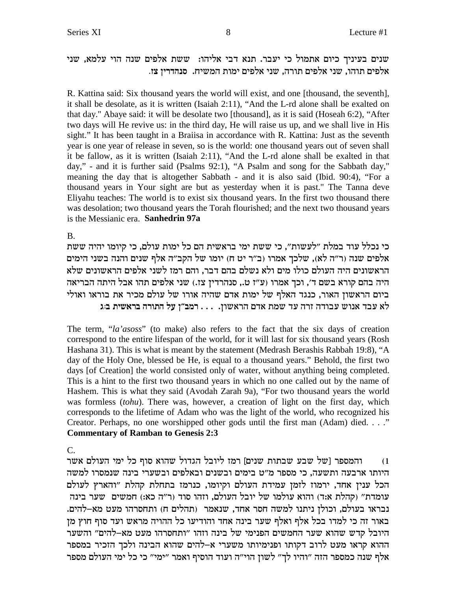## שנים בעיניך כיום אתמול כי יעבר. תנא דבי אליהו: ששת אלפים שנה הוי עלמא, שני . אלפים תוהו, שני אלפים תורה, שני אלפים ימות המשיח. סנהדרין צז

R. Kattina said: Six thousand years the world will exist, and one [thousand, the seventh], it shall be desolate, as it is written (Isaiah 2:11), "And the L-rd alone shall be exalted on that day." Abaye said: it will be desolate two [thousand], as it is said (Hoseah 6:2), "After two days will He revive us: in the third day, He will raise us up, and we shall live in His sight." It has been taught in a Braiisa in accordance with R. Kattina: Just as the seventh year is one year of release in seven, so is the world: one thousand years out of seven shall it be fallow, as it is written (Isaiah 2:11), "And the L-rd alone shall be exalted in that day," - and it is further said (Psalms 92:1), "A Psalm and song for the Sabbath day," meaning the day that is altogether Sabbath - and it is also said (Ibid. 90:4), "For a thousand years in Your sight are but as yesterday when it is past." The Tanna deve Eliyahu teaches: The world is to exist six thousand years. In the first two thousand there was desolation; two thousand years the Torah flourished; and the next two thousand years is the Messianic era. **Sanhedrin 97a**

## B.

כי נכלל עוד במלת "לעשות", כי ששת ימי בראשית הם כל ימות עולם, כי קיומו יהיה ששת הלפים שנה (ר"ה לא), שלכך אמרו (ב"ר יט ח) יומו של הקב"ה אלף שנים והנה בשני הימים הראשונים היה העולם כולו מים ולא נשלם בהם דבר, והם רמז לשני אלפים הראשונים שלא היה בהם קורא בשם ד', וכך אמרו (ע"ז ט., סנהרדין צז.) שני אלפים תהו אבל היתה הבריאה ביום הראשון האור, כנגד האלף של ימות אדם שהיה אורו של עולם מכיר את בוראו ואולי **b:a ziy`xa dxezd lr o"anx** . . . .oey`xd mc` zny cr dxf dcear yep` car `l

The term, "*la'asoss*" (to make) also refers to the fact that the six days of creation correspond to the entire lifespan of the world, for it will last for six thousand years (Rosh Hashana 31). This is what is meant by the statement (Medrash Berashis Rabbah 19:8), "A day of the Holy One, blessed be He, is equal to a thousand years." Behold, the first two days [of Creation] the world consisted only of water, without anything being completed. This is a hint to the first two thousand years in which no one called out by the name of Hashem. This is what they said (Avodah Zarah 9a), "For two thousand years the world was formless (*tohu*). There was, however, a creation of light on the first day, which corresponds to the lifetime of Adam who was the light of the world, who recognized his Creator. Perhaps, no one worshipped other gods until the first man (Adam) died. . . ." **Commentary of Ramban to Genesis 2:3**

C.

ו) ההמספר [של שבע שבתות שנים] רמז ליובל הגדול שהוא סוף כל ימי העולם אשר היותו ארבעה ותשעה, כי מספר מ"ט בימים ובשנים ובאלפים ובשערי בינה שנמסרו למשה הכל ענין אחד, ירמוז לזמן עמידת העולם וקיומו, כנרמז בתחלת קהלת "והארץ לעולם עומדת" (קהלת א:ד) והוא עולמו של יובל העולם, וזהו סוד (ר"ה כא:) חמשים שער בינה .<br>נבראו בעולם, וכולן ניתנו למשה חסר אחד, שנאמר (תהלים ח) ותחסרהו מעט מא–להים באור זה כי למדו בכל אלף ואלף שער בינה אחד והודיעו כל ההויה מראש ועד סוף חוץ מן היובל קדש שהוא שער החמשים הפנימי של בינה וזהו "ותחסרהו מעט מא–להים" והשער ההוא קראו מעט לרוב דקותו ופנימיותו משערי א–להים שהוא הבינה ולכך הזכיר במספר אלף שנה כמספר הזה "והיו לך" לשון הוי"ה ועוד הוסיף ואמר "ימי" כי כל ימי העולם מספר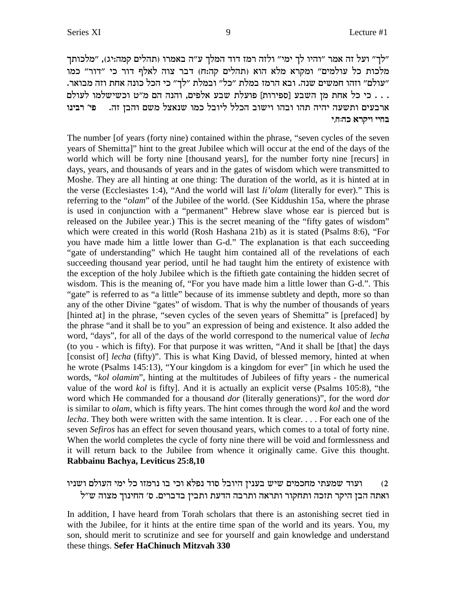לך" ועל זה אמר "והיו לך ימי" ולזה רמז דוד המלך ע"ה באמרו (תהלים קמה:יג), "מלכותך" מלכות כל עולמים" ומקרא מלא הוא (תהלים קה:ח) דבר צוה לאלף דור כי "דור" כמו עולם" וזהו חמשים שנה. ובא הרמז במלת "כל" ובמלת "לך" כי הכל כונה אחת וזה מבואר." י. כי כל אחת מן השבע [ספירות] פועלת שבע אלפים, והנה הם מ"ט וכשישלמו לעולם . . . **epiax 'it** .df oade myn lv`py enk laeil llkd aeyie edae edz didi dryze mirax` בחיי ויקרא כה:ח,י

The number [of years (forty nine) contained within the phrase, "seven cycles of the seven years of Shemitta]" hint to the great Jubilee which will occur at the end of the days of the world which will be forty nine [thousand years], for the number forty nine [recurs] in days, years, and thousands of years and in the gates of wisdom which were transmitted to Moshe. They are all hinting at one thing: The duration of the world, as it is hinted at in the verse (Ecclesiastes 1:4), "And the world will last *li'olam* (literally for ever)." This is referring to the "*olam*" of the Jubilee of the world. (See Kiddushin 15a, where the phrase is used in conjunction with a "permanent" Hebrew slave whose ear is pierced but is released on the Jubilee year.) This is the secret meaning of the "fifty gates of wisdom" which were created in this world (Rosh Hashana 21b) as it is stated (Psalms 8:6), "For you have made him a little lower than G-d." The explanation is that each succeeding "gate of understanding" which He taught him contained all of the revelations of each succeeding thousand year period, until he had taught him the entirety of existence with the exception of the holy Jubilee which is the fiftieth gate containing the hidden secret of wisdom. This is the meaning of, "For you have made him a little lower than G-d.". This "gate" is referred to as "a little" because of its immense subtlety and depth, more so than any of the other Divine "gates" of wisdom. That is why the number of thousands of years [hinted at] in the phrase, "seven cycles of the seven years of Shemitta" is [prefaced] by the phrase "and it shall be to you" an expression of being and existence. It also added the word, "days", for all of the days of the world correspond to the numerical value of *lecha* (to you - which is fifty). For that purpose it was written, "And it shall be [that] the days [consist of] *lecha* (fifty)". This is what King David, of blessed memory, hinted at when he wrote (Psalms 145:13), "Your kingdom is a kingdom for ever" [in which he used the words, "*kol olamim*", hinting at the multitudes of Jubilees of fifty years - the numerical value of the word *kol* is fifty]. And it is actually an explicit verse (Psalms 105:8), "the word which He commanded for a thousand *dor* (literally generations)", for the word *dor* is similar to *olam*, which is fifty years. The hint comes through the word *kol* and the word *lecha*. They both were written with the same intention. It is clear. . . . For each one of the seven *Sefiros* has an effect for seven thousand years, which comes to a total of forty nine. When the world completes the cycle of forty nine there will be void and formlessness and it will return back to the Jubilee from whence it originally came. Give this thought. **Rabbainu Bachya, Leviticus 25:8,10**

ועוד שמעתי מחכמים שיש בענין היובל סוד נפלא וכי בו נרמזו כל ימי העולם ושניו  $\,$ l ואתה הבן היקר תזכה ותחקור ותראה ותרבה הדעת ותבין בדברים. ס׳ החינוך מצוה ש׳׳ל

In addition, I have heard from Torah scholars that there is an astonishing secret tied in with the Jubilee, for it hints at the entire time span of the world and its years. You, my son, should merit to scrutinize and see for yourself and gain knowledge and understand these things. **Sefer HaChinuch Mitzvah 330**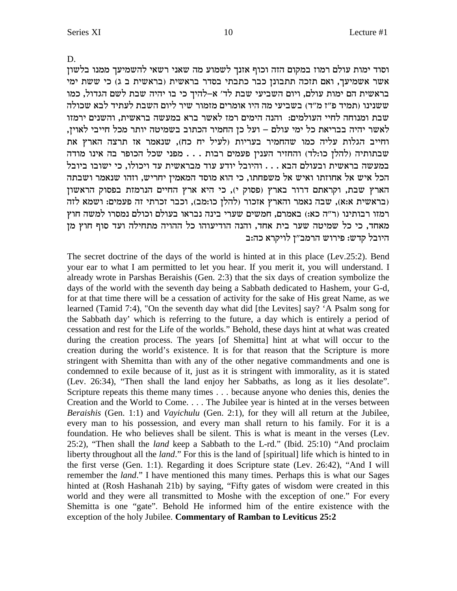D.

וסוד ימות עולם רמוז במקום הזה וכוף אזנך לשמוע מה שאני רשאי להשמיעך ממנו בלשון ימי אשמיעך, ואם תזכה תתבונן כבר כתבתי בסדר בראשית (בראשית ב ג) כי ששת ימי בראשית הם ימות עולם, ויום השביעי שבת לד׳ א–להיך כי בו יהיה שבת לשם הגדול, כמו ששנינו (תמיד פ"ז מ"ד) בשביעי מה היו אומרים מזמור שיר ליום השבת לעתיד לבא שכולה שבת ומנוחה לחיי העולמים: והנה הימים רמז לאשר ברא במעשה בראשית, והשנים ירמזו , לאשר יהיה בבריאת כל ימי עולם – ועל כן החמיר הכתוב בשמיטה יותר מכל חייבי לאוין וחייב הגלות עליה כמו שהחמיר בעריות (לעיל יח כח), שנאמר אז תרצה הארץ את שבתותיה (להלן כו:לד) והחזיר הענין פעמים רבות . . . מפני שכל הכופר בה אינו מודה ומעשה בראשית ובעולם הבא . . . והיובל יודע עוד מבראשית עד ויכולו, כי ישובו ביובל הכל איש אל אחוזתו ואיש אל משפחתו, כי הוא מוסד המאמין יחריש, וזהו שנאמר ושבתה הארץ שבת, וקראתם דרור בארץ (פסוק י), כי היא ארץ החיים הנרמזת בפסוק הראשון בראשית א:א), שבה נאמר והארץ אזכור (להלן כו:מב), וכבר זכרתי זה פעמים: ושמא לזה) רמזו רבותינו (ר"ה כא:) באמרם, חמשים שערי בינה נבראו בעולם וכולם נמסרו למשה חוץ מאחד. כי כל שמיטה שער בית אחד, והנה הודיעוהו כל ההויה מתחילה ועד סוף חוץ מן היובל קדש: פירוש הרמב״ז לויקרא כה:ב

The secret doctrine of the days of the world is hinted at in this place (Lev.25:2). Bend your ear to what I am permitted to let you hear. If you merit it, you will understand. I already wrote in Parshas Beraishis (Gen. 2:3) that the six days of creation symbolize the days of the world with the seventh day being a Sabbath dedicated to Hashem, your G-d, for at that time there will be a cessation of activity for the sake of His great Name, as we learned (Tamid 7:4), "On the seventh day what did [the Levites] say? 'A Psalm song for the Sabbath day' which is referring to the future, a day which is entirely a period of cessation and rest for the Life of the worlds." Behold, these days hint at what was created during the creation process. The years [of Shemitta] hint at what will occur to the creation during the world's existence. It is for that reason that the Scripture is more stringent with Shemitta than with any of the other negative commandments and one is condemned to exile because of it, just as it is stringent with immorality, as it is stated (Lev. 26:34), "Then shall the land enjoy her Sabbaths, as long as it lies desolate". Scripture repeats this theme many times . . . because anyone who denies this, denies the Creation and the World to Come. . . . The Jubilee year is hinted at in the verses between *Beraishis* (Gen. 1:1) and *Vayichulu* (Gen. 2:1), for they will all return at the Jubilee, every man to his possession, and every man shall return to his family. For it is a foundation. He who believes shall be silent. This is what is meant in the verses (Lev. 25:2), "Then shall the *land* keep a Sabbath to the L-rd." (Ibid. 25:10) "And proclaim liberty throughout all the *land*." For this is the land of [spiritual] life which is hinted to in the first verse (Gen. 1:1). Regarding it does Scripture state (Lev. 26:42), "And I will remember the *land*." I have mentioned this many times. Perhaps this is what our Sages hinted at (Rosh Hashanah 21b) by saying, "Fifty gates of wisdom were created in this world and they were all transmitted to Moshe with the exception of one." For every Shemitta is one "gate". Behold He informed him of the entire existence with the exception of the holy Jubilee. **Commentary of Ramban to Leviticus 25:2**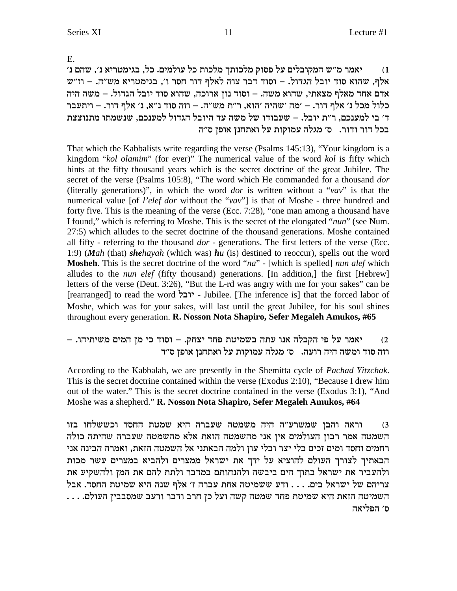E.

'אמר מ"ש המקובלים על פסוק מלכותך מלכות כל עולמים. כל, בגימטריא נ', שהם נ'  $y''$ לף, שהוא סוד יובל הגדול. - וסוד דבר צוה לאלף דור חסר ו', בגימטריא מש"ה. - וז  $d$ לה מאלף מצאתי, שהוא משה. - וסוד נון ארוכה, שהוא סוד יובל הגדול. - משה היה כלול מכל נ' אלף דור. – 'מה 'שהיה 'הוא, ר"ת מש"ה. – וזה סוד נ"א, נ' אלף דור. – ויתעבר ד' בי למענכם, ר"ת יובל. – שעבודו של משה עד היובל הגדול למענכם, שנשמתו מתנוצצת בכל דור ודור. ס׳ מגלה עמוקות על ואתחנן אופן ס״ה

That which the Kabbalists write regarding the verse (Psalms 145:13), "Your kingdom is a kingdom "*kol olamim*" (for ever)" The numerical value of the word *kol* is fifty which hints at the fifty thousand years which is the secret doctrine of the great Jubilee. The secret of the verse (Psalms 105:8), "The word which He commanded for a thousand *dor* (literally generations)", in which the word *dor* is written without a "*vav*" is that the numerical value [of *l'elef dor* without the "*vav*"] is that of Moshe - three hundred and forty five. This is the meaning of the verse (Ecc. 7:28), "one man among a thousand have I found," which is referring to Moshe. This is the secret of the elongated "*nun*" (see Num. 27:5) which alludes to the secret doctrine of the thousand generations. Moshe contained all fifty - referring to the thousand *dor -* generations. The first letters of the verse (Ecc. 1:9) (*Mah* (that) *shehayah* (which was) *hu* (is) destined to reoccur), spells out the word **Mosheh**. This is the secret doctrine of the word "*na*" - [which is spelled] *nun alef* which alludes to the *nun elef* (fifty thousand) generations. [In addition,] the first [Hebrew] letters of the verse (Deut. 3:26), "But the L-rd was angry with me for your sakes" can be [rearranged] to read the word  $\cdot$ יובל - Jubilee. [The inference is] that the forced labor of Moshe, which was for your sakes, will last until the great Jubilee, for his soul shines throughout every generation. **R. Nosson Nota Shapiro, Sefer Megaleh Amukos, #65**

- . יאמר על פי הקבלה אנו עתה בשמיטת פחד יצחק. – וסוד כי מן המים משיתיהו וזה סוד ומשה היה רועה. ס׳ מגלה עמוקות על ואתחנן אופן ס״ד

According to the Kabbalah, we are presently in the Shemitta cycle of *Pachad Yitzchak*. This is the secret doctrine contained within the verse (Exodus 2:10), "Because I drew him out of the water." This is the secret doctrine contained in the verse (Exodus 3:1), "And Moshe was a shepherd."**R. Nosson Nota Shapiro, Sefer Megaleh Amukos, #64**

וראה והבן שמשרע"ה היה משמטה שעברה היא שמטת החסד וכששלחו בזו השמטה אמר רבון העולמים אין אני מהשמטה הזאת אלא מהשמטה שעברה שהיתה כולה רחמים וחסד ומים זכים בלי יצר ובלי עון ולמה הבאתני אל השמטה הזאת, ואמרה הבינה אני הבאתיך לצורך העולם להוציא על ידך את ישראל ממצרים ולהביא במצרים עשר מכות ולהעביר את ישראל בתוך הים ביבשה ולהנחותם במדבר ולתת להם את המן ולהשקיע את צריהם של ישראל בים. . . . ודע ששמיטה אחת עברה ז' אלף שנה היא שמיטת החסד. אבל . . . .mlerd oiaaqny arxe xace axg ok lre dyw dhny cgt zhiny `id z`fd dhinyd ס׳ הפליאה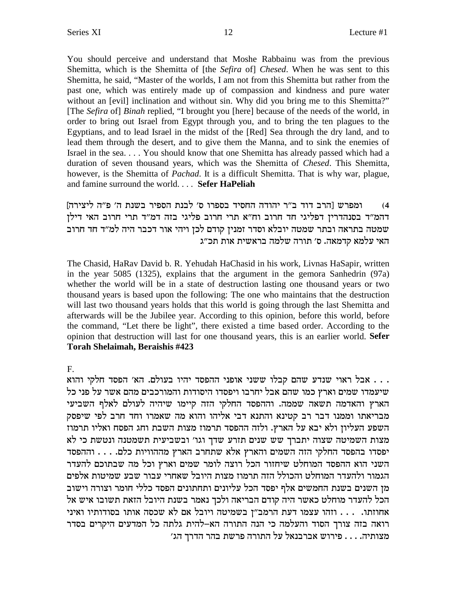You should perceive and understand that Moshe Rabbainu was from the previous Shemitta, which is the Shemitta of [the Sefira of] Chesed. When he was sent to this Shemitta, he said, "Master of the worlds, I am not from this Shemitta but rather from the past one, which was entirely made up of compassion and kindness and pure water without an [evil] inclination and without sin. Why did you bring me to this Shemitta?" [The Sefira of] Binah replied, "I brought you [here] because of the needs of the world, in order to bring out Israel from Egypt through you, and to bring the ten plagues to the Egyptians, and to lead Israel in the midst of the [Red] Sea through the dry land, and to lead them through the desert, and to give them the Manna, and to sink the enemies of Israel in the sea.... You should know that one Shemitta has already passed which had a duration of seven thousand years, which was the Shemitta of Chesed. This Shemitta, however, is the Shemitta of *Pachad*. It is a difficult Shemitta. That is why war, plague, and famine surround the world.... Sefer HaPeliah

ומפרש [הרב דוד ב״ר יהודה החסיד בספרו ס׳ לבנת הספיר בשנת ה׳ פ״ה ליצירה]  $(4)$ דהמ״ד בסנהדרין דפליגי חד חרוב וח״א תרי חרוב פליגי בזה דמ״ד תרי חרוב האי דילן שמטה בתראה ובתר שמטה יובלא וסדר זמנין קודם לכן ויהי אור דכבר היה למ״ד חד חרוב האי עלמא קדמאה. ס' תורה שלמה בראשית אות תכ"ג

The Chasid, HaRav David b. R. Yehudah HaChasid in his work, Livnas HaSapir, written in the year 5085 (1325), explains that the argument in the gemora Sanhedrin (97a) whether the world will be in a state of destruction lasting one thousand years or two thousand years is based upon the following: The one who maintains that the destruction will last two thousand years holds that this world is going through the last Shemitta and afterwards will be the Jubilee year. According to this opinion, before this world, before the command, "Let there be light", there existed a time based order. According to the opinion that destruction will last for one thousand years, this is an earlier world. Sefer **Torah Shelaimah, Beraishis #423** 

 $F_{\cdot}$ 

. . . אבל ראוי שנדע שהם קבלו ששני אופני ההפסד יהיו בעולם. הא׳ הפסד חלקי והוא שיעמדו שמים וארץ כמו שהם אבל יחרבו ויפסדו היסודות והמורכבים מהם אשר על פני כל הארץ והאדמה תשאה שממה. וההפסד החלקי הזה קיימו שיהיה לעולם לאלף השביעי מבריאתו וממנו דבר רב קטינא והתנא דבי אליהו והוא מה שאמרו וחד חרב לפי שיפסק השפע העליון ולא יבא על הארץ. ולזה ההפסד תרמוז מצות השבת וחג הפסח ואליו תרמוז מצות השמיטה שצוה יתברך שש שנים תזרע שדך וגו' ובשביעית תשמטנה ונטשת כי לא יפסדו בהפסד החלקי הזה השמים והארץ אלא שתחרב הארץ מההוויות כלם. . . . וההפסד השני הוא ההפסד המוחלט שיחזור הכל רוצה לומר שמים וארץ וכל מה שבתוכם להעדר הגמור ולהעדר המוחלט והכולל הזה תרמוז מצות היובל שאחרי עבור שבע שמיטות אלפים מן השנים בשנת החמשים אלף יפסד הכל עליונים ותחתונים הפסד כללי חומר וצורה וישוב הכל להעדר מוחלט כאשר היה קודם הבריאה ולכך נאמר בשנת היובל הזאת תשובו איש אל אחוזתו. . . . וזהו עצמו דעת הרמב"ן בשמיטה ויובל אם לא שכסה אותו בסודותיו ואיני רואה בזה צורך הסוד והעלמה כי הנה התורה הא–להית גלתה כל המדעים היקרים בסדר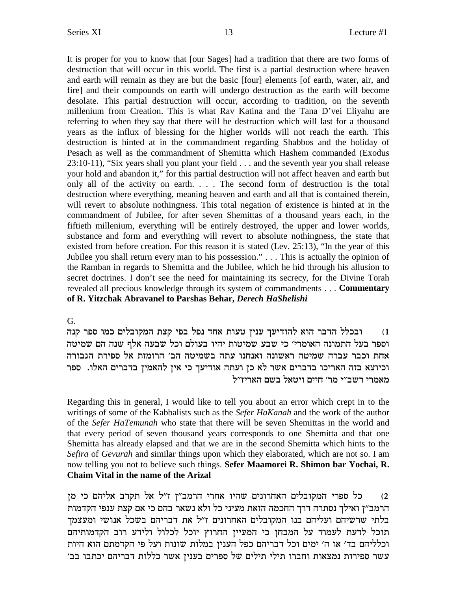It is proper for you to know that [our Sages] had a tradition that there are two forms of destruction that will occur in this world. The first is a partial destruction where heaven and earth will remain as they are but the basic [four] elements [of earth, water, air, and fire] and their compounds on earth will undergo destruction as the earth will become desolate. This partial destruction will occur, according to tradition, on the seventh millenium from Creation. This is what Rav Katina and the Tana D'vei Eliyahu are referring to when they say that there will be destruction which will last for a thousand years as the influx of blessing for the higher worlds will not reach the earth. This destruction is hinted at in the commandment regarding Shabbos and the holiday of Pesach as well as the commandment of Shemitta which Hashem commanded (Exodus 23:10-11), "Six years shall you plant your field . . . and the seventh year you shall release your hold and abandon it," for this partial destruction will not affect heaven and earth but only all of the activity on earth. . . . The second form of destruction is the total destruction where everything, meaning heaven and earth and all that is contained therein, will revert to absolute nothingness. This total negation of existence is hinted at in the commandment of Jubilee, for after seven Shemittas of a thousand years each, in the fiftieth millenium, everything will be entirely destroyed, the upper and lower worlds, substance and form and everything will revert to absolute nothingness, the state that existed from before creation. For this reason it is stated (Lev. 25:13), "In the year of this Jubilee you shall return every man to his possession." . . . This is actually the opinion of the Ramban in regards to Shemitta and the Jubilee, which he hid through his allusion to secret doctrines. I don't see the need for maintaining its secrecy, for the Divine Torah revealed all precious knowledge through its system of commandments . . . **Commentary of R. Yitzchak Abravanel to Parshas Behar,** *Derech HaShelishi*

G.

ובכלל הדבר הוא להודיעך ענין טעות אחד נפל בפי קצת המקובלים כמו ספר קנה (1 וספר בעל התמונה האומרי' כי שבע שמיטות יהיו בעולם וכל שבעה אלף שנה הם שמיטה אחת וכבר עברה שמיטה ראשונה ואנחנו עתה בשמיטה הב׳ הרומזת אל ספירת הגבורה וכיוצא בזה האריכו בדברים אשר לא כן ועתה אודיעך כי אין להאמין בדברים האלו. ספר מאמרי רשב״י מר׳ חיים ויטאל בשם האריז״ל

Regarding this in general, I would like to tell you about an error which crept in to the writings of some of the Kabbalists such as the *Sefer HaKanah* and the work of the author of the *Sefer HaTemunah* who state that there will be seven Shemittas in the world and that every period of seven thousand years corresponds to one Shemitta and that one Shemitta has already elapsed and that we are in the second Shemitta which hints to the *Sefira* of *Gevurah* and similar things upon which they elaborated, which are not so. I am now telling you not to believe such things. **Sefer Maamorei R. Shimon bar Yochai, R. Chaim Vital in the name of the Arizal**

0) כל ספרי המקובלים האחרונים שהיו אחרי הרמב"ן ז"ל אל תקרב אליהם כי מן הרמב״ן ואילך נסתרה דרך החכמה הזאת מעיני כל ולא נשאר בהם כי אם קצת ענפי הקדמות בלתי שרשיהם ועליהם בנו המקובלים האחרונים ז"ל את דבריהם בשכל אנושי ומעצמך תוכל לדעת לעמוד על המבחן כי המעיין החרוץ יוכל לכלול ולידע רוב הקדמותיהם וכלליהם בד' או ה' ימים וכל דבריהם כפל הענין במלות שונות ועל פי הקדמתם הוא היות 'עשר ספירות נמצאות וחברו תילי תילים של ספרים בענין אשר כללות דבריהם יכתבו בב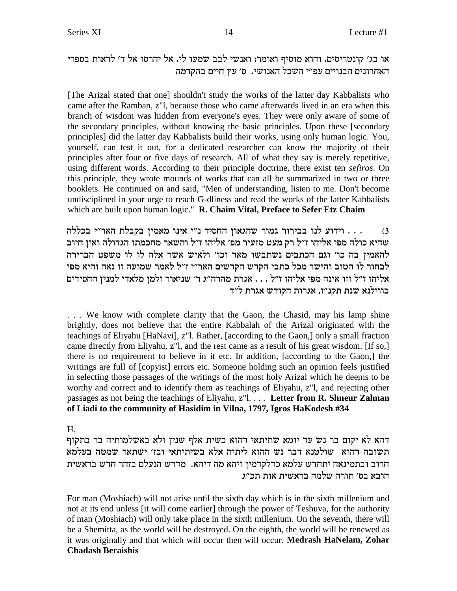או בג' קונטריסים. והוא מוסיף ואומר: ואנשי לבב שמעו לי. אל יהרסו אל ד' לראות בספרי האחרונים הבנויים עפ"י השכל האנושי. ס' עץ חיים בהקדמה

[The Arizal stated that one] shouldn't study the works of the latter day Kabbalists who came after the Ramban, z"l, because those who came afterwards lived in an era when this branch of wisdom was hidden from everyone's eyes. They were only aware of some of the secondary principles, without knowing the basic principles. Upon these [secondary principles] did the latter day Kabbalists build their works, using only human logic. You, yourself, can test it out, for a dedicated researcher can know the majority of their principles after four or five days of research. All of what they say is merely repetitive, using different words. According to their principle doctrine, there exist ten sefiros. On this principle, they wrote mounds of works that can all be summarized in two or three booklets. He continued on and said, "Men of understanding, listen to me. Don't become undisciplined in your urge to reach G-dliness and read the works of the latter Kabbalists which are built upon human logic." R. Chaim Vital, Preface to Sefer Etz Chaim

. . . . וידוע לנו בבירור גמור שהגאון החסיד נ״י אינו מאמין בקבלת האר״י בכללה  $(3)$ שהיא כולה מפי אליהו ז״ל רק מעט מזעיר מפ׳ אליהו ז״ל והשאר מחכמתו הגדולה ואין חיוב להאמין בה כו' וגם הכתבים נשתבשו מאד וכו' ולאיש אשר אלה לו לו משפט הברירה לבחור לו הטוב והישר מכל כתבי הקדש הקדשים האר״י ז״ל לאמר שמועה זו נאה והיא מפי החסידים אליהו אינה מפי אליהו ז"ל . . . אגרת מהרה"ג ר' שניאור זלמן מלאדי למנין החסידים בווילנא שנת תקנ״ז, אגרות הקודש אגרת ל״ד

... We know with complete clarity that the Gaon, the Chasid, may his lamp shine brightly, does not believe that the entire Kabbalah of the Arizal originated with the teachings of Eliyahu [HaNavi], z"l. Rather, [according to the Gaon,] only a small fraction came directly from Eliyahu, z"l, and the rest came as a result of his great wisdom. [If so,] there is no requirement to believe in it etc. In addition, [according to the Gaon,] the writings are full of [copyist] errors etc. Someone holding such an opinion feels justified in selecting those passages of the writings of the most holy Arizal which he deems to be worthy and correct and to identify them as teachings of Eliyahu, z"l, and rejecting other passages as not being the teachings of Eliyahu, z"l. . . . Letter from R. Shneur Zalman of Liadi to the community of Hasidim in Vilna, 1797, Igros HaKodesh #34

H.

דהא לא יקום בר נש עד יומא שתיתאי דהוא בשית אלף שנין ולא באשלמותיה בר בתקוף תשובה דהוא שולטנא דבר נש ההוא ליתיה אלא בשיתיתאי ובז׳ ישתאר שמטה בעלמא חרוב ובתמינאה יתחדש עלמא כדלקדמין ויהא מה דיהא. מדרש הנעלם בזהר חדש בראשית הובא בס׳ תורה שלמה בראשית אות תכ״ג

For man (Moshiach) will not arise until the sixth day which is in the sixth millenium and not at its end unless [it will come earlier] through the power of Teshuva, for the authority of man (Moshiach) will only take place in the sixth millenium. On the seventh, there will be a Shemitta, as the world will be destroyed. On the eighth, the world will be renewed as it was originally and that which will occur then will occur. Medrash HaNelam, Zohar **Chadash Beraishis**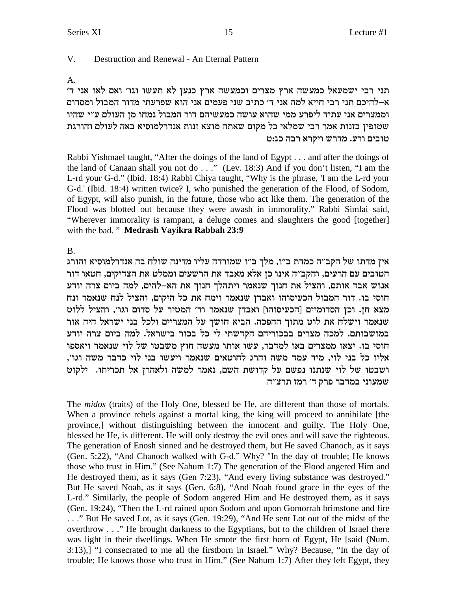#### $V_{.}$ Destruction and Renewal - An Eternal Pattern

## $A_{\cdot}$

תני רבי ישמעאל כמעשה ארץ מצרים וכמעשה ארץ כנען לא תעשו וגו׳ ואם לאו אני ד׳ א–להיכם תני רבי חייא למה אני ד׳ כתיב שני פעמים אני הוא שפרעתי מדור המבול ומסדום וממצרים אני עתיד ליפרע ממי שהוא עושה כמעשיהם דור המבול נמחו מן העולם ע"י שהיו שטופין בזנות אמר רבי שמלאי כל מקום שאתה מוצא זנות אנדרלמוסיא באה לעולם והורגת טובים ורע. מדרש ויקרא רבה כג:ט

Rabbi Yishmael taught, "After the doings of the land of Egypt . . . and after the doings of the land of Canaan shall you not do . . ." (Lev. 18:3) And if you don't listen, "I am the L-rd your G-d." (Ibid. 18:4) Rabbi Chiya taught, "Why is the phrase, 'I am the L-rd your G-d.' (Ibid. 18:4) written twice? I, who punished the generation of the Flood, of Sodom, of Egypt, will also punish, in the future, those who act like them. The generation of the Flood was blotted out because they were awash in immorality." Rabbi Simlai said, "Wherever immorality is rampant, a deluge comes and slaughters the good [together] with the bad. " Medrash Vayikra Rabbah 23:9

## $B<sub>1</sub>$

אין מדתו של הקב"ה כמדת ב"ו, מלך ב"ו שמורדה עליו מדינה שולח בה אנדרלמוסיא והורג הטובים עם הרעים, והקב"ה אינו כן אלא מאבד את הרשעים וממלט את הצדיקים, חטאו דור אנוש אבד אותם, והציל את חנוך שנאמר ויתהלך חנוך את הא-להים, למה ביום צרה יודע חוסי בו. דור המבול הכעיסוהו ואבדן שנאמר וימח את כל היקום, והציל לנח שנאמר ונח מצא חז. וכן הסדומיים [הכעיסוהו] ואבדן שנאמר וד׳ המטיר על סדום וגו׳, והציל ללוט שנאמר וישלח את לוט מתוך ההפכה. הביא חושך על המצריים ולכל בני ישראל היה אור במושבותם. למכה מצרים בבכוריהם הקדשתי לי כל בכור בישראל. למה ביום צרה יודע חוסי בו. יצאו ממצרים באו למדבר, עשו אותו מעשה חוץ משבטו של לוי שנאמר ויאספו אליו כל בני לוי, מיד עמד משה והרג לחוטאים שנאמר ויעשו בני לוי כדבר משה וגו׳, ושבטו של לוי שנתנו נפשם על קדושת השם, נאמר למשה ולאהרן אל תכריתו. ילקוט שמעוני במדבר פרק ד' רמז תרצ"ה

The *midos* (traits) of the Holy One, blessed be He, are different than those of mortals. When a province rebels against a mortal king, the king will proceed to annihilate [the province, without distinguishing between the innocent and guilty. The Holy One, blessed be He, is different. He will only destroy the evil ones and will save the righteous. The generation of Enosh sinned and he destroyed them, but He saved Chanoch, as it says (Gen. 5:22), "And Chanoch walked with G-d." Why? "In the day of trouble; He knows those who trust in Him." (See Nahum 1:7) The generation of the Flood angered Him and He destroyed them, as it says (Gen 7:23), "And every living substance was destroyed." But He saved Noah, as it says (Gen. 6:8), "And Noah found grace in the eyes of the L-rd." Similarly, the people of Sodom angered Him and He destroyed them, as it says (Gen. 19:24), "Then the L-rd rained upon Sodom and upon Gomorrah brimstone and fire ..." But He saved Lot, as it says (Gen. 19:29), "And He sent Lot out of the midst of the overthrow . . ." He brought darkness to the Egyptians, but to the children of Israel there was light in their dwellings. When He smote the first born of Egypt, He [said (Num. 3:13),] "I consecrated to me all the firstborn in Israel." Why? Because, "In the day of trouble; He knows those who trust in Him." (See Nahum 1:7) After they left Egypt, they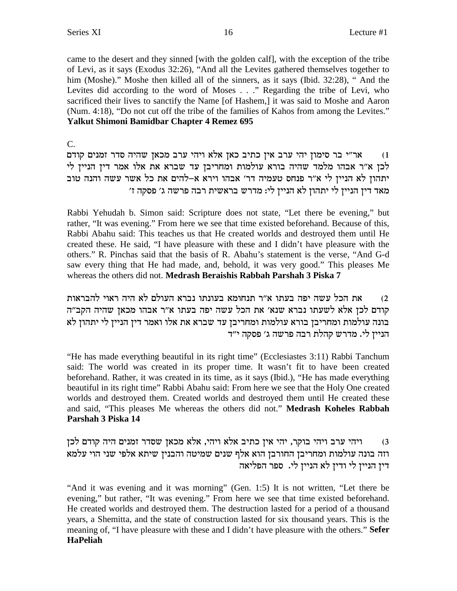came to the desert and they sinned [with the golden calf], with the exception of the tribe of Levi, as it says (Exodus 32:26), "And all the Levites gathered themselves together to him (Moshe)." Moshe then killed all of the sinners, as it says (Ibid. 32:28), "And the Levites did according to the word of Moses . . ." Regarding the tribe of Levi, who sacrificed their lives to sanctify the Name [of Hashem,] it was said to Moshe and Aaron (Num. 4:18), "Do not cut off the tribe of the families of Kahos from among the Levites." Yalkut Shimoni Bamidbar Chapter 4 Remez 695

 $C_{\cdot}$ 

אר״י בר סימון יהי ערב אין כתיב כאן אלא ויהי ערב מכאן שהיה סדר זמנים קודם  $(1)$ לכן א"ר אבהו מלמד שהיה בורא עולמות ומחריבן עד שברא את אלו אמר דין הניין לי יתהון לא הניין לי א״ר פנחס טעמיה דר׳ אבהו וירא א–להים את כל אשר עשה והנה טוב מאד דין הניין לי יתהון לא הניין לי: מדרש בראשית רבה פרשה ג׳ פסקה ז׳

Rabbi Yehudah b. Simon said: Scripture does not state, "Let there be evening," but rather, "It was evening." From here we see that time existed beforehand. Because of this, Rabbi Abahu said: This teaches us that He created worlds and destroyed them until He created these. He said, "I have pleasure with these and I didn't have pleasure with the others." R. Pinchas said that the basis of R. Abahu's statement is the verse, "And G-d saw every thing that He had made, and, behold, it was very good." This pleases Me whereas the others did not. Medrash Beraishis Rabbah Parshah 3 Piska 7

את הכל עשה יפה בעתו א״ר תנחומא בעונתו נברא העולם לא היה ראוי להבראות  $(2)$ קודם לכן אלא לשעתו נברא שנא׳ את הכל עשה יפה בעתו א״ר אבהו מכאן שהיה הקב״ה בונה עולמות ומחריבן בורא עולמות ומחריבן עד שברא את אלו ואמר דין הניין לי יתהון לא הנייז לי. מדרש קהלת רבה פרשה ג׳ פסקה י״ד

"He has made everything beautiful in its right time" (Ecclesiastes 3:11) Rabbi Tanchum said: The world was created in its proper time. It wasn't fit to have been created beforehand. Rather, it was created in its time, as it says (Ibid.), "He has made everything beautiful in its right time" Rabbi Abahu said: From here we see that the Holy One created worlds and destroyed them. Created worlds and destroyed them until He created these and said, "This pleases Me whereas the others did not." Medrash Koheles Rabbah Parshah 3 Piska 14

ויהי ערב ויהי בוקר, יהי אין כתיב אלא ויהי, אלא מכאן שסדר זמנים היה קודם לכן  $(3)$ וזה בונה עולמות ומחריבן החורבן הוא אלף שנים שמיטה והבנין שיתא אלפי שני הוי עלמא דין הניין לי ודין לא הניין לי. ספר הפליאה

"And it was evening and it was morning" (Gen. 1:5) It is not written, "Let there be evening," but rather, "It was evening." From here we see that time existed beforehand. He created worlds and destroyed them. The destruction lasted for a period of a thousand years, a Shemitta, and the state of construction lasted for six thousand years. This is the meaning of, "I have pleasure with these and I didn't have pleasure with the others." Sefer **HaPeliah**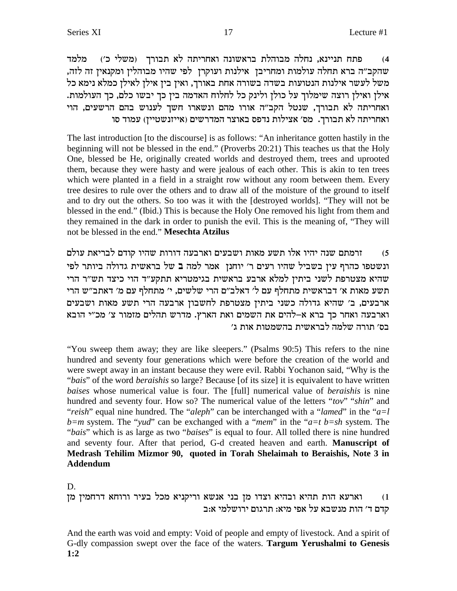פתח תניינא, נחלה מבוהלת בראשונה ואחריתה לא תבורך (משלי כ׳) מלמד  $(4)$ שהקב"ה ברא תחלה עולמות ומחריבן אילנות ועוקרן לפי שהיו מבוהלין ומקנאין זה לזה, משל לעשר אילנות הנטועות בשדה בשורה אחת באורך, ואין בין אילן לאילן כמלא נימא כל אילן ואילן רוצה שימלוך על כולן ולינק כל לחלוח האדמה בין כך יבשו כלם, כך העולמות. ואחריתה לא תבורך, שנטל הקב״ה אורו מהם ונשארו חשך לענוש בהם הרשעים, הוי ואחריתה לא תבורך. מס׳ אצילות נדפס באוצר המדרשים (אייזנשטיין) עמוד סו

The last introduction [to the discourse] is as follows: "An inheritance gotten hastily in the beginning will not be blessed in the end." (Proverbs 20:21) This teaches us that the Holy One, blessed be He, originally created worlds and destroyed them, trees and uprooted them, because they were hasty and were jealous of each other. This is akin to ten trees which were planted in a field in a straight row without any room between them. Every tree desires to rule over the others and to draw all of the moisture of the ground to itself and to dry out the others. So too was it with the [destroyed worlds]. "They will not be blessed in the end." (Ibid.) This is because the Holy One removed his light from them and they remained in the dark in order to punish the evil. This is the meaning of, "They will not be blessed in the end." Mesechta Atzilus

זרמתם שנה יהיו אלו תשע מאות ושבעים וארבעה דורות שהיו קודם לבריאת עולם  $(5)$ ונשטפו כהרף עין בשביל שהיו רעים ר' יוחנן אמר למה ב של בראשית גדולה ביותר לפי שהיא מצטרפת לשני ביתין למלא ארבע בראשית בגימטריא תתקע"ד הוי כיצד תש"ר הרי תשע מאות א' דבראשית מתחלף עם ל' דאלב"ם הרי שלשים, י' מתחלף עם מ' דאתב"ש הרי ארבעים, ב' שהיא גדולה כשני ביתין מצטרפת לחשבון ארבעה הרי תשע מאות ושבעים וארבעה ואחר כך ברא א-להים את השמים ואת הארץ. מדרש תהלים מזמור צ׳ מכ״י הובא בס׳ תורה שלמה לבראשית בהשמטות אות ג׳

"You sweep them away; they are like sleepers." (Psalms 90:5) This refers to the nine hundred and seventy four generations which were before the creation of the world and were swept away in an instant because they were evil. Rabbi Yochanon said, "Why is the "bais" of the word *beraishis* so large? Because [of its size] it is equivalent to have written baises whose numerical value is four. The [full] numerical value of *beraishis* is nine hundred and seventy four. How so? The numerical value of the letters "tov" "shin" and "reish" equal nine hundred. The "aleph" can be interchanged with a "lamed" in the " $a=l$ b=m system. The "yud" can be exchanged with a "mem" in the " $a=t$  b=sh system. The "bais" which is as large as two "baises" is equal to four. All tolled there is nine hundred and seventy four. After that period, G-d created heaven and earth. Manuscript of Medrash Tehilim Mizmor 90, quoted in Torah Shelaimah to Beraishis, Note 3 in **Addendum** 

 $D_{\alpha}$ 

וארעא הות תהיא ובהיא וצדו מן בני אנשא וריקניא מכל בעיר ורוחא דרחמין מן  $(1)$ קדם ד' הות מנשבא על אפי מיא: תרגום ירושלמי א:ב

And the earth was void and empty: Void of people and empty of livestock. And a spirit of G-dly compassion swept over the face of the waters. Targum Yerushalmi to Genesis  $1:2$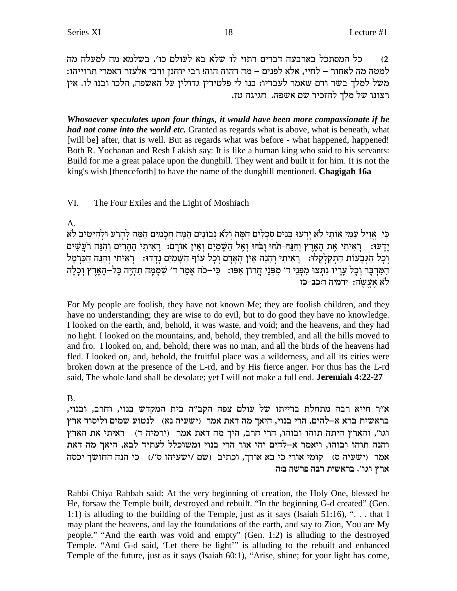כל המסתכל בארבעה דברים רתוי לו שלא בא לעולם כו׳. בשלמא מה למעלה מה  $(2)$ למטה מה לאחור – לחיי, אלא לפנים – מה דהוה הוה! רבי יוחנן ורבי אלעזר דאמרי תרוייהו: משל למלך בשר ודם שאמר לעבדיו: בנו לי פלטירין גדולין על האשפה, הלכו ובנו לו. אין רצונו של מלך להזכיר שם אשפה. חגיגה טז.

Whosoever speculates upon four things, it would have been more compassionate if he *had not come into the world etc.* Granted as regards what is above, what is beneath, what [will be] after, that is well. But as regards what was before - what happened, happened! Both R. Yochanan and Resh Lakish say: It is like a human king who said to his servants: Build for me a great palace upon the dunghill. They went and built it for him. It is not the king's wish [thenceforth] to have the name of the dunghill mentioned. **Chagigah 16a** 

#### VI. The Four Exiles and the Light of Moshiach

A.

כִּי אֱוִיל עַמַּי אוֹתִי לֹא יַדַעוּ בַּנִים סְכָלִים הֶמָּה וְלֹא נְבוֹנִים הֶמֵּה חֲכָמִים הֶמָּה לְהָרַע וּלְהֵיטִיב לֹא יַדַעוּ: רַאֲיתִי אֶת הַאֲרִץ וַהְגָּה-תֹהוּ וַבֹהוּ וָאֵל הַשָּׁמַיִם וְאֵין אוֹרֵם: רַאֲיתִי הֶהָרִים וְהָגֶה רֹעֲשִׁים וְכָל הַגִּבְעוֹת הִתְקַלְקַלוּ: יַרְאִיתִי וְהִנֵּה אֵין הָאֲדָם וְכָל עוֹף הַשָּׁמַיִם נַדְדוּ: יַרְאִיתִי וְהִנֶּה הַכְּרְמֶל .<br>הַמִּדְבָר וְכָל עָרָיו נִתְצוּ מִפְּנֵי ד׳ מִפְּנֵי חֲרוֹן אַפּוֹ: | כִּי–כֹה אָמַר ד׳ שְׁמָמָה תִהְיֶה כָּל–הָאָרֶץ וְכָלָה לא אעשה: ירמיה דוכב-כז

For My people are foolish, they have not known Me; they are foolish children, and they have no understanding; they are wise to do evil, but to do good they have no knowledge. I looked on the earth, and, behold, it was waste, and void; and the heavens, and they had no light. I looked on the mountains, and, behold, they trembled, and all the hills moved to and fro. I looked on, and, behold, there was no man, and all the birds of the heavens had fled. I looked on, and, behold, the fruitful place was a wilderness, and all its cities were broken down at the presence of the L-rd, and by His fierce anger. For thus has the L-rd said, The whole land shall be desolate; yet I will not make a full end. Jeremiah 4:22-27

## $B.$

א״ר חייא רבה מתחלת ברייתו של עולם צפה הקב״ה בית המקדש בנוי, וחרב, ובנוי, בראשית ברא א–להים, הרי בנוי, היאך מה דאת אמר (ישעיה נא) לנטוע שמים וליסוד ארץ וגו׳, והארץ היתה תוהו ובוהו, הרי חרב, היך מה דאת אמר (ירמיה ד) – ראיתי את הארץ והנה תוהו ובוהו, ויאמר א-להים יהי אור הרי בנוי ומשוכלל לעתיד לבא, היאך מה דאת אמר (ישעיה ס) קומי אורי כי בא אורך, וכתיב (שם /ישעיהו ס'/) כי הנה החושך יכסה ארץ וגו'. בראשית רבה פרשה ב:ה

Rabbi Chiya Rabbah said: At the very beginning of creation, the Holy One, blessed be He, forsaw the Temple built, destroyed and rebuilt. "In the beginning G-d created" (Gen. 1:1) is alluding to the building of the Temple, just as it says (Isaiah  $51:16$ ), "... that I may plant the heavens, and lay the foundations of the earth, and say to Zion, You are My people." "And the earth was void and empty" (Gen. 1:2) is alluding to the destroyed Temple. "And G-d said, 'Let there be light'" is alluding to the rebuilt and enhanced Temple of the future, just as it says (Isaiah 60:1), "Arise, shine; for your light has come,